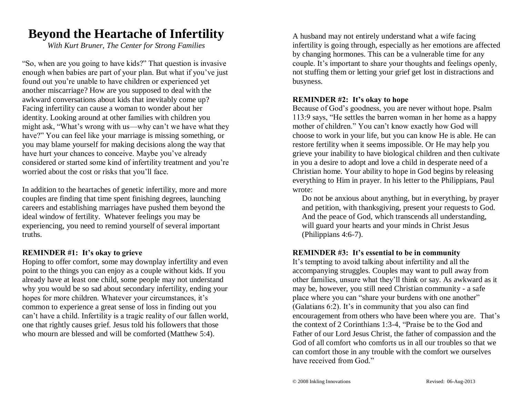## **Beyond the Heartache of Infertility**

*With Kurt Bruner, The Center for Strong Families*

"So, when are you going to have kids?" That question is invasive enough when babies are part of your plan. But what if you've just found out you're unable to have children or experienced yet another miscarriage? How are you supposed to deal with the awkward conversations about kids that inevitably come up? Facing infertility can cause a woman to wonder about her identity. Looking around at other families with children you might ask, "What's wrong with us—why can't we have what they have?" You can feel like your marriage is missing something, or you may blame yourself for making decisions along the way that have hurt your chances to conceive. Maybe you've already considered or started some kind of infertility treatment and you're worried about the cost or risks that you'll face.

In addition to the heartaches of genetic infertility, more and more couples are finding that time spent finishing degrees, launching careers and establishing marriages have pushed them beyond the ideal window of fertility. Whatever feelings you may be experiencing, you need to remind yourself of several important truths.

#### **REMINDER #1: It's okay to grieve**

Hoping to offer comfort, some may downplay infertility and even point to the things you can enjoy as a couple without kids. If you already have at least one child, some people may not understand why you would be so sad about secondary infertility, ending your hopes for more children. Whatever your circumstances, it's common to experience a great sense of loss in finding out you can't have a child. Infertility is a tragic reality of our fallen world, one that rightly causes grief. Jesus told his followers that those who mourn are blessed and will be comforted (Matthew 5:4).

A husband may not entirely understand what a wife facing infertility is going through, especially as her emotions are affected by changing hormones. This can be a vulnerable time for any couple. It's important to share your thoughts and feelings openly, not stuffing them or letting your grief get lost in distractions and busyness.

#### **REMINDER #2: It's okay to hope**

Because of God's goodness, you are never without hope. Psalm 113:9 says, "He settles the barren woman in her home as a happy mother of children." You can't know exactly how God will choose to work in your life, but you can know He is able. He can restore fertility when it seems impossible. Or He may help you grieve your inability to have biological children and then cultivate in you a desire to adopt and love a child in desperate need of a Christian home. Your ability to hope in God begins by releasing everything to Him in prayer. In his letter to the Philippians, Paul wrote:

Do not be anxious about anything, but in everything, by prayer and petition, with thanksgiving, present your requests to God. And the peace of God, which transcends all understanding, will guard your hearts and your minds in Christ Jesus (Philippians 4:6-7).

#### **REMINDER #3: It's essential to be in community**

It's tempting to avoid talking about infertility and all the accompanying struggles. Couples may want to pull away from other families, unsure what they'll think or say. As awkward as it may be, however, you still need Christian community - a safe place where you can "share your burdens with one another" (Galatians 6:2). It's in community that you also can find encouragement from others who have been where you are. That's the context of 2 Corinthians 1:3-4, "Praise be to the God and Father of our Lord Jesus Christ, the father of compassion and the God of all comfort who comforts us in all our troubles so that we can comfort those in any trouble with the comfort we ourselves have received from God."